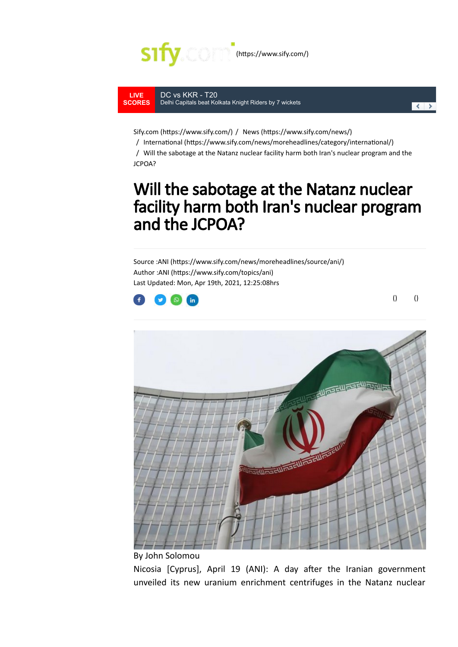

**LIVE [SCORES](https://scores.sify.com/)** DC vs KKR - T20 [Delhi Capitals beat Kolkata Knight Riders by 7 wickets](https://scores.sify.com/live-cricket-scores/Indian-Premier-League-2021/DELHI-CAPITALS_vs_KOLKATA-KNIGHT-RIDERS_APR29_2021.shtml#livescores)



Sify.com (https://www.sify.com/) / News (https://www.sify.com/news/)

/ International (https://www.sify.com/news/moreheadlines/category/international/)

/ Will the sabotage at the Natanz nuclear facility harm both Iran's nuclear program and the JCPOA?

## Will the sabotage at the Natanz nuclear facility harm both Iran's nuclear program and the JCPOA?

Source :ANI (https://www.sify.com/news/moreheadlines/source/ani/) Author : ANI (https://www.sify.com/topics/ani) Last Updated: Mon, Apr 19th, 2021, 12:25:08hrs



 $()$  ()



By John Solomou

Nicosia [Cyprus], April 19 (ANI): A day after the Iranian government unveiled its new uranium enrichment centrifuges in the Natanz nuclear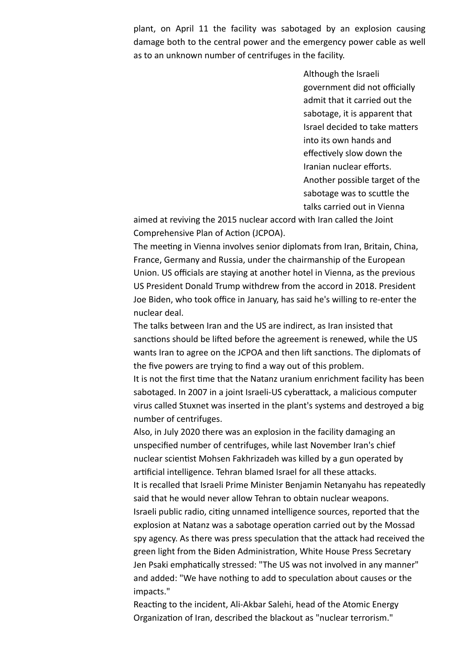plant, on April 11 the facility was sabotaged by an explosion causing damage both to the central power and the emergency power cable as well as to an unknown number of centrifuges in the facility.

> Although the Israeli government did not officially admit that it carried out the sabotage, it is apparent that Israel decided to take matters into its own hands and effectively slow down the Iranian nuclear efforts. Another possible target of the sabotage was to scuttle the talks carried out in Vienna

aimed at reviving the 2015 nuclear accord with Iran called the Joint Comprehensive Plan of Action (JCPOA).

The meeting in Vienna involves senior diplomats from Iran, Britain, China, France, Germany and Russia, under the chairmanship of the European Union. US officials are staying at another hotel in Vienna, as the previous US President Donald Trump withdrew from the accord in 2018. President Joe Biden, who took office in January, has said he's willing to re-enter the nuclear deal.

The talks between Iran and the US are indirect, as Iran insisted that sanctions should be lifted before the agreement is renewed, while the US wants Iran to agree on the JCPOA and then lift sanctions. The diplomats of the five powers are trying to find a way out of this problem.

It is not the first time that the Natanz uranium enrichment facility has been sabotaged. In 2007 in a joint Israeli-US cyberattack, a malicious computer virus called Stuxnet was inserted in the plant's systems and destroyed a big number of centrifuges.

Also, in July 2020 there was an explosion in the facility damaging an unspecified number of centrifuges, while last November Iran's chief nuclear scientist Mohsen Fakhrizadeh was killed by a gun operated by artificial intelligence. Tehran blamed Israel for all these attacks.

It is recalled that Israeli Prime Minister Benjamin Netanyahu has repeatedly said that he would never allow Tehran to obtain nuclear weapons.

Israeli public radio, citing unnamed intelligence sources, reported that the explosion at Natanz was a sabotage operation carried out by the Mossad spy agency. As there was press speculation that the attack had received the green light from the Biden Administration, White House Press Secretary Jen Psaki emphatically stressed: "The US was not involved in any manner" and added: "We have nothing to add to speculation about causes or the impacts."

Reacting to the incident, Ali-Akbar Salehi, head of the Atomic Energy Organization of Iran, described the blackout as "nuclear terrorism."